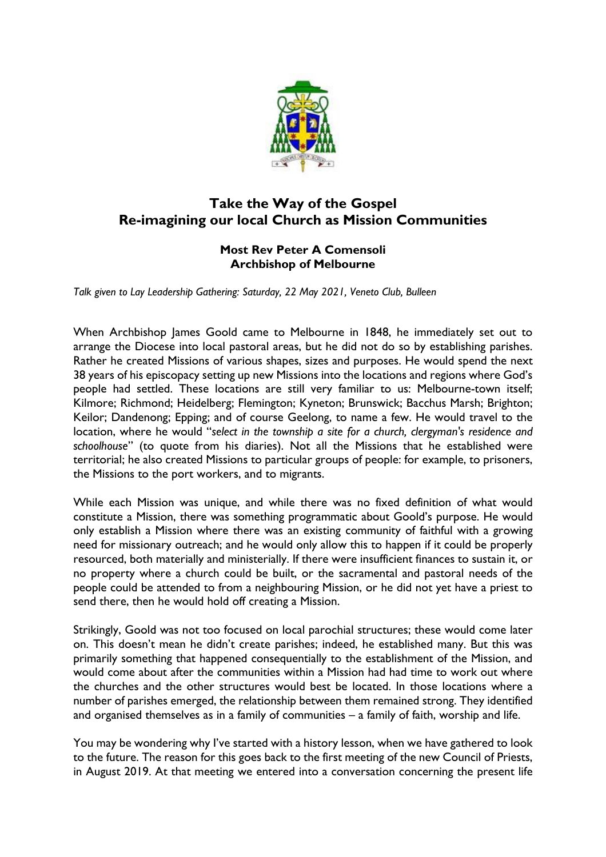

## **Take the Way of the Gospel Re-imagining our local Church as Mission Communities**

## **Most Rev Peter A Comensoli Archbishop of Melbourne**

*Talk given to Lay Leadership Gathering: Saturday, 22 May 2021, Veneto Club, Bulleen*

When Archbishop James Goold came to Melbourne in 1848, he immediately set out to arrange the Diocese into local pastoral areas, but he did not do so by establishing parishes. Rather he created Missions of various shapes, sizes and purposes. He would spend the next 38 years of his episcopacy setting up new Missions into the locations and regions where God's people had settled. These locations are still very familiar to us: Melbourne-town itself; Kilmore; Richmond; Heidelberg; Flemington; Kyneton; Brunswick; Bacchus Marsh; Brighton; Keilor; Dandenong; Epping; and of course Geelong, to name a few. He would travel to the location, where he would "*select in the township a site for a church, clergyman's residence and schoolhouse*" (to quote from his diaries). Not all the Missions that he established were territorial; he also created Missions to particular groups of people: for example, to prisoners, the Missions to the port workers, and to migrants.

While each Mission was unique, and while there was no fixed definition of what would constitute a Mission, there was something programmatic about Goold's purpose. He would only establish a Mission where there was an existing community of faithful with a growing need for missionary outreach; and he would only allow this to happen if it could be properly resourced, both materially and ministerially. If there were insufficient finances to sustain it, or no property where a church could be built, or the sacramental and pastoral needs of the people could be attended to from a neighbouring Mission, or he did not yet have a priest to send there, then he would hold off creating a Mission.

Strikingly, Goold was not too focused on local parochial structures; these would come later on. This doesn't mean he didn't create parishes; indeed, he established many. But this was primarily something that happened consequentially to the establishment of the Mission, and would come about after the communities within a Mission had had time to work out where the churches and the other structures would best be located. In those locations where a number of parishes emerged, the relationship between them remained strong. They identified and organised themselves as in a family of communities – a family of faith, worship and life.

You may be wondering why I've started with a history lesson, when we have gathered to look to the future. The reason for this goes back to the first meeting of the new Council of Priests, in August 2019. At that meeting we entered into a conversation concerning the present life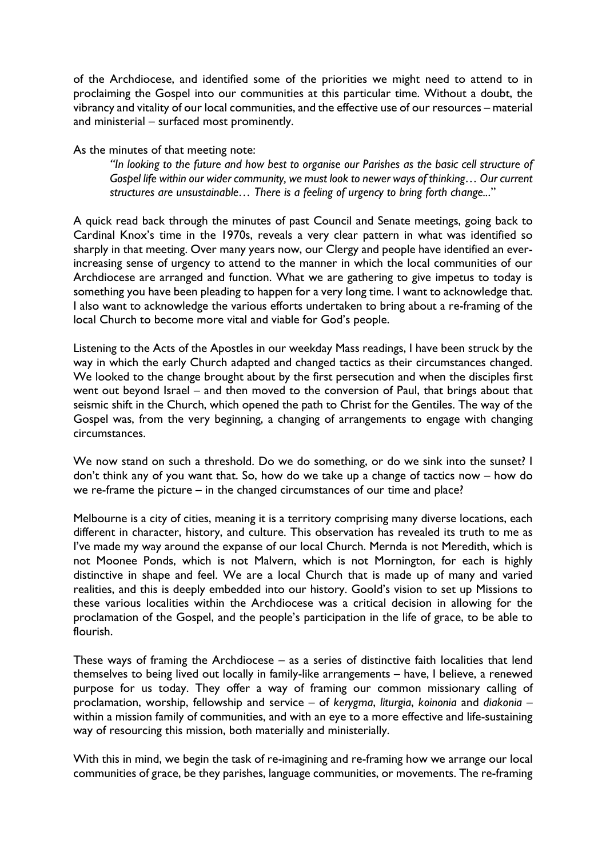of the Archdiocese, and identified some of the priorities we might need to attend to in proclaiming the Gospel into our communities at this particular time. Without a doubt, the vibrancy and vitality of our local communities, and the effective use of our resources – material and ministerial – surfaced most prominently.

As the minutes of that meeting note:

*"In looking to the future and how best to organise our Parishes as the basic cell structure of Gospel life within our wider community, we must look to newer ways of thinking… Our current structures are unsustainable… There is a feeling of urgency to bring forth change..*."

A quick read back through the minutes of past Council and Senate meetings, going back to Cardinal Knox's time in the 1970s, reveals a very clear pattern in what was identified so sharply in that meeting. Over many years now, our Clergy and people have identified an everincreasing sense of urgency to attend to the manner in which the local communities of our Archdiocese are arranged and function. What we are gathering to give impetus to today is something you have been pleading to happen for a very long time. I want to acknowledge that. I also want to acknowledge the various efforts undertaken to bring about a re-framing of the local Church to become more vital and viable for God's people.

Listening to the Acts of the Apostles in our weekday Mass readings, I have been struck by the way in which the early Church adapted and changed tactics as their circumstances changed. We looked to the change brought about by the first persecution and when the disciples first went out beyond Israel – and then moved to the conversion of Paul, that brings about that seismic shift in the Church, which opened the path to Christ for the Gentiles. The way of the Gospel was, from the very beginning, a changing of arrangements to engage with changing circumstances.

We now stand on such a threshold. Do we do something, or do we sink into the sunset? I don't think any of you want that. So, how do we take up a change of tactics now – how do we re-frame the picture – in the changed circumstances of our time and place?

Melbourne is a city of cities, meaning it is a territory comprising many diverse locations, each different in character, history, and culture. This observation has revealed its truth to me as I've made my way around the expanse of our local Church. Mernda is not Meredith, which is not Moonee Ponds, which is not Malvern, which is not Mornington, for each is highly distinctive in shape and feel. We are a local Church that is made up of many and varied realities, and this is deeply embedded into our history. Goold's vision to set up Missions to these various localities within the Archdiocese was a critical decision in allowing for the proclamation of the Gospel, and the people's participation in the life of grace, to be able to flourish.

These ways of framing the Archdiocese – as a series of distinctive faith localities that lend themselves to being lived out locally in family-like arrangements – have, I believe, a renewed purpose for us today. They offer a way of framing our common missionary calling of proclamation, worship, fellowship and service – of *kerygma*, *liturgia*, *koinonia* and *diakonia* – within a mission family of communities, and with an eye to a more effective and life-sustaining way of resourcing this mission, both materially and ministerially.

With this in mind, we begin the task of re-imagining and re-framing how we arrange our local communities of grace, be they parishes, language communities, or movements. The re-framing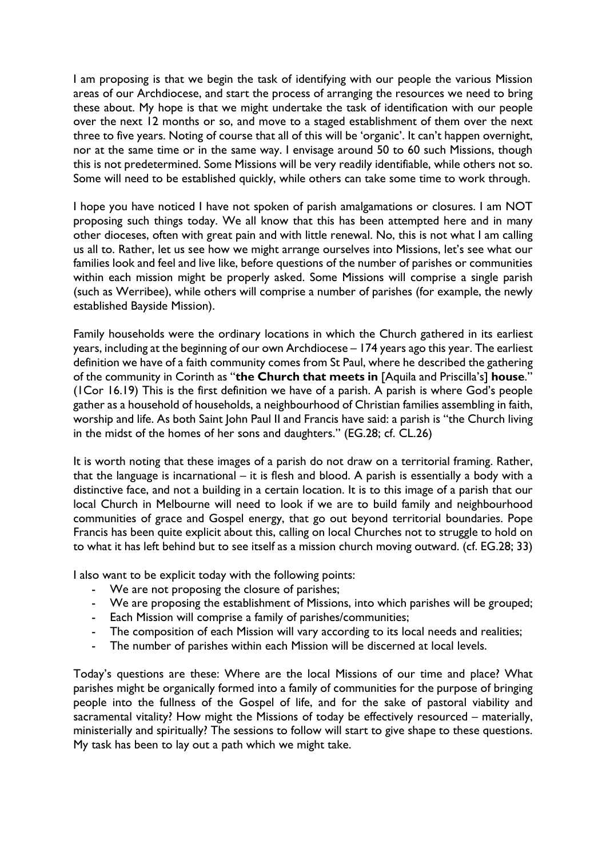I am proposing is that we begin the task of identifying with our people the various Mission areas of our Archdiocese, and start the process of arranging the resources we need to bring these about. My hope is that we might undertake the task of identification with our people over the next 12 months or so, and move to a staged establishment of them over the next three to five years. Noting of course that all of this will be 'organic'. It can't happen overnight, nor at the same time or in the same way. I envisage around 50 to 60 such Missions, though this is not predetermined. Some Missions will be very readily identifiable, while others not so. Some will need to be established quickly, while others can take some time to work through.

I hope you have noticed I have not spoken of parish amalgamations or closures. I am NOT proposing such things today. We all know that this has been attempted here and in many other dioceses, often with great pain and with little renewal. No, this is not what I am calling us all to. Rather, let us see how we might arrange ourselves into Missions, let's see what our families look and feel and live like, before questions of the number of parishes or communities within each mission might be properly asked. Some Missions will comprise a single parish (such as Werribee), while others will comprise a number of parishes (for example, the newly established Bayside Mission).

Family households were the ordinary locations in which the Church gathered in its earliest years, including at the beginning of our own Archdiocese – 174 years ago this year. The earliest definition we have of a faith community comes from St Paul, where he described the gathering of the community in Corinth as "**the Church that meets in** [Aquila and Priscilla's] **house**." (1Cor 16.19) This is the first definition we have of a parish. A parish is where God's people gather as a household of households, a neighbourhood of Christian families assembling in faith, worship and life. As both Saint John Paul II and Francis have said: a parish is "the Church living in the midst of the homes of her sons and daughters." (EG.28; cf. CL.26)

It is worth noting that these images of a parish do not draw on a territorial framing. Rather, that the language is incarnational – it is flesh and blood. A parish is essentially a body with a distinctive face, and not a building in a certain location. It is to this image of a parish that our local Church in Melbourne will need to look if we are to build family and neighbourhood communities of grace and Gospel energy, that go out beyond territorial boundaries. Pope Francis has been quite explicit about this, calling on local Churches not to struggle to hold on to what it has left behind but to see itself as a mission church moving outward. (cf. EG.28; 33)

I also want to be explicit today with the following points:

- We are not proposing the closure of parishes;
- We are proposing the establishment of Missions, into which parishes will be grouped;
- Each Mission will comprise a family of parishes/communities;
- The composition of each Mission will vary according to its local needs and realities;
- The number of parishes within each Mission will be discerned at local levels.

Today's questions are these: Where are the local Missions of our time and place? What parishes might be organically formed into a family of communities for the purpose of bringing people into the fullness of the Gospel of life, and for the sake of pastoral viability and sacramental vitality? How might the Missions of today be effectively resourced – materially, ministerially and spiritually? The sessions to follow will start to give shape to these questions. My task has been to lay out a path which we might take.